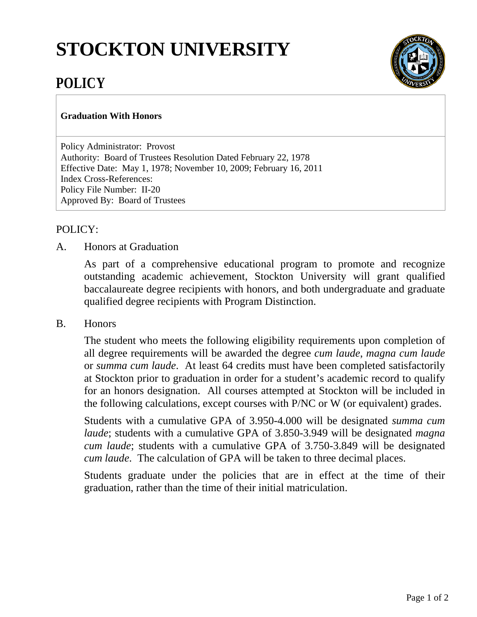# **STOCKTON UNIVERSITY**



# **POLICY**

#### **Graduation With Honors**

Policy Administrator: Provost Authority: Board of Trustees Resolution Dated February 22, 1978 Effective Date: May 1, 1978; November 10, 2009; February 16, 2011 Index Cross-References: Policy File Number: II-20 Approved By: Board of Trustees

## POLICY:

A. Honors at Graduation

As part of a comprehensive educational program to promote and recognize outstanding academic achievement, Stockton University will grant qualified baccalaureate degree recipients with honors, and both undergraduate and graduate qualified degree recipients with Program Distinction.

B. Honors

The student who meets the following eligibility requirements upon completion of all degree requirements will be awarded the degree *cum laude*, *magna cum laude*  or *summa cum laude*. At least 64 credits must have been completed satisfactorily at Stockton prior to graduation in order for a student's academic record to qualify for an honors designation. All courses attempted at Stockton will be included in the following calculations, except courses with P/NC or W (or equivalent) grades.

Students with a cumulative GPA of 3.950-4.000 will be designated *summa cum laude*; students with a cumulative GPA of 3.850-3.949 will be designated *magna cum laude*; students with a cumulative GPA of 3.750-3.849 will be designated *cum laude*. The calculation of GPA will be taken to three decimal places.

Students graduate under the policies that are in effect at the time of their graduation, rather than the time of their initial matriculation.